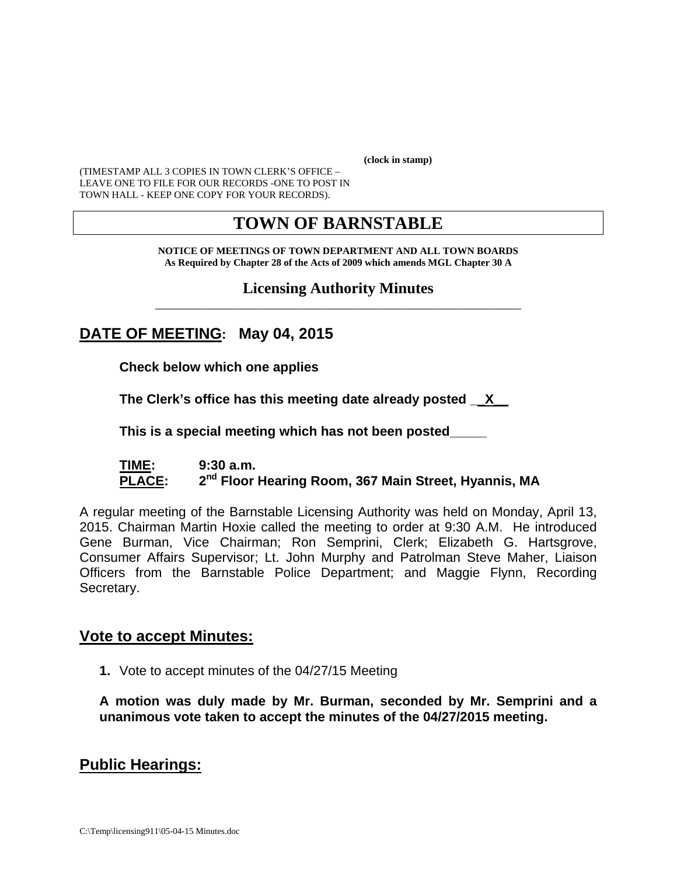**(clock in stamp)** 

(TIMESTAMP ALL 3 COPIES IN TOWN CLERK'S OFFICE – LEAVE ONE TO FILE FOR OUR RECORDS -ONE TO POST IN TOWN HALL - KEEP ONE COPY FOR YOUR RECORDS).

## **TOWN OF BARNSTABLE**

**NOTICE OF MEETINGS OF TOWN DEPARTMENT AND ALL TOWN BOARDS As Required by Chapter 28 of the Acts of 2009 which amends MGL Chapter 30 A** 

#### **Licensing Authority Minutes** \_\_\_\_\_\_\_\_\_\_\_\_\_\_\_\_\_\_\_\_\_\_\_\_\_\_\_\_\_\_\_\_\_\_\_\_\_\_\_\_\_\_\_\_\_\_\_\_\_\_\_\_\_\_\_\_\_\_\_\_

## **DATE OF MEETING: May 04, 2015**

**Check below which one applies** 

**The Clerk's office has this meeting date already posted \_\_X\_\_** 

 **This is a special meeting which has not been posted\_\_\_\_\_** 

#### **TIME: 9:30 a.m.**  PLACE: 2<sup>nd</sup> Floor Hearing Room, 367 Main Street, Hyannis, MA

A regular meeting of the Barnstable Licensing Authority was held on Monday, April 13, 2015. Chairman Martin Hoxie called the meeting to order at 9:30 A.M. He introduced Gene Burman, Vice Chairman; Ron Semprini, Clerk; Elizabeth G. Hartsgrove, Consumer Affairs Supervisor; Lt. John Murphy and Patrolman Steve Maher, Liaison Officers from the Barnstable Police Department; and Maggie Flynn, Recording Secretary.

#### **Vote to accept Minutes:**

**1.** Vote to accept minutes of the 04/27/15 Meeting

**A motion was duly made by Mr. Burman, seconded by Mr. Semprini and a unanimous vote taken to accept the minutes of the 04/27/2015 meeting.** 

#### **Public Hearings:**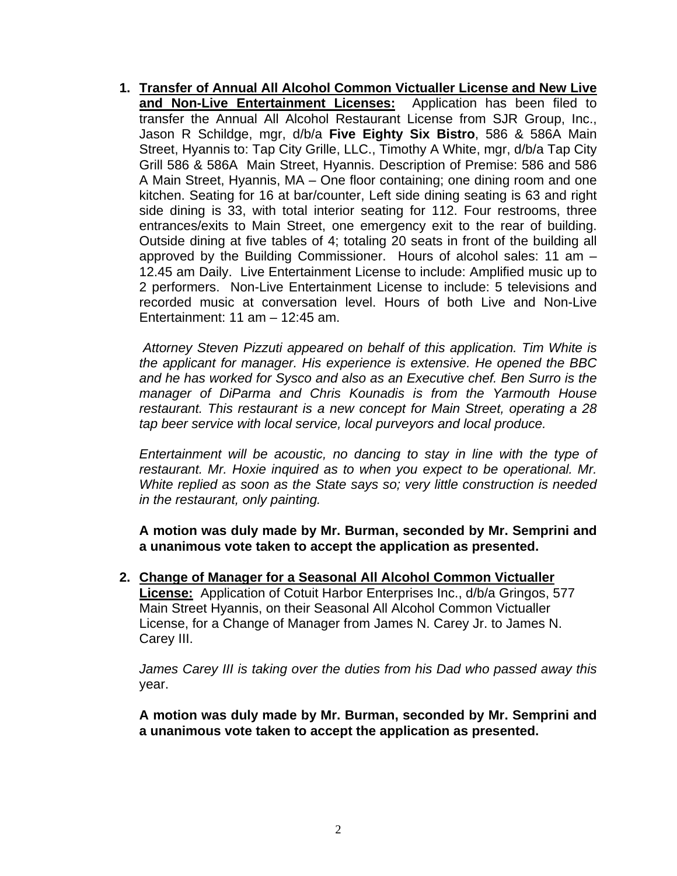**1. Transfer of Annual All Alcohol Common Victualler License and New Live and Non-Live Entertainment Licenses:** Application has been filed to transfer the Annual All Alcohol Restaurant License from SJR Group, Inc., Jason R Schildge, mgr, d/b/a **Five Eighty Six Bistro**, 586 & 586A Main Street, Hyannis to: Tap City Grille, LLC., Timothy A White, mgr, d/b/a Tap City Grill 586 & 586A Main Street, Hyannis. Description of Premise: 586 and 586 A Main Street, Hyannis, MA – One floor containing; one dining room and one kitchen. Seating for 16 at bar/counter, Left side dining seating is 63 and right side dining is 33, with total interior seating for 112. Four restrooms, three entrances/exits to Main Street, one emergency exit to the rear of building. Outside dining at five tables of 4; totaling 20 seats in front of the building all approved by the Building Commissioner. Hours of alcohol sales: 11 am – 12.45 am Daily. Live Entertainment License to include: Amplified music up to 2 performers. Non-Live Entertainment License to include: 5 televisions and recorded music at conversation level. Hours of both Live and Non-Live Entertainment: 11 am – 12:45 am.

 *Attorney Steven Pizzuti appeared on behalf of this application. Tim White is the applicant for manager. His experience is extensive. He opened the BBC and he has worked for Sysco and also as an Executive chef. Ben Surro is the manager of DiParma and Chris Kounadis is from the Yarmouth House restaurant. This restaurant is a new concept for Main Street, operating a 28 tap beer service with local service, local purveyors and local produce.* 

*Entertainment will be acoustic, no dancing to stay in line with the type of restaurant. Mr. Hoxie inquired as to when you expect to be operational. Mr. White replied as soon as the State says so; very little construction is needed in the restaurant, only painting.* 

**A motion was duly made by Mr. Burman, seconded by Mr. Semprini and a unanimous vote taken to accept the application as presented.**

**2. Change of Manager for a Seasonal All Alcohol Common Victualler** 

**License:** Application of Cotuit Harbor Enterprises Inc., d/b/a Gringos, 577 Main Street Hyannis, on their Seasonal All Alcohol Common Victualler License, for a Change of Manager from James N. Carey Jr. to James N. Carey III.

*James Carey III is taking over the duties from his Dad who passed away this* year.

**A motion was duly made by Mr. Burman, seconded by Mr. Semprini and a unanimous vote taken to accept the application as presented.**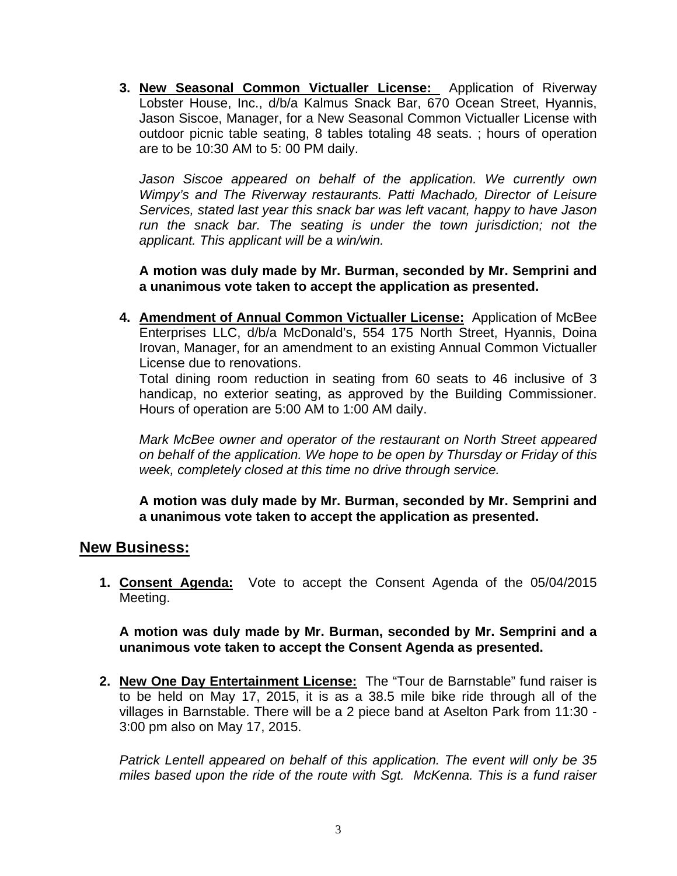**3. New Seasonal Common Victualler License:** Application of Riverway Lobster House, Inc., d/b/a Kalmus Snack Bar, 670 Ocean Street, Hyannis, Jason Siscoe, Manager, for a New Seasonal Common Victualler License with outdoor picnic table seating, 8 tables totaling 48 seats. ; hours of operation are to be 10:30 AM to 5: 00 PM daily.

*Jason Siscoe appeared on behalf of the application. We currently own Wimpy's and The Riverway restaurants. Patti Machado, Director of Leisure Services, stated last year this snack bar was left vacant, happy to have Jason*  run the snack bar. The seating is under the town jurisdiction; not the *applicant. This applicant will be a win/win.* 

**A motion was duly made by Mr. Burman, seconded by Mr. Semprini and a unanimous vote taken to accept the application as presented.**

**4. Amendment of Annual Common Victualler License:** Application of McBee Enterprises LLC, d/b/a McDonald's, 554 175 North Street, Hyannis, Doina Irovan, Manager, for an amendment to an existing Annual Common Victualler License due to renovations.

Total dining room reduction in seating from 60 seats to 46 inclusive of 3 handicap, no exterior seating, as approved by the Building Commissioner. Hours of operation are 5:00 AM to 1:00 AM daily.

*Mark McBee owner and operator of the restaurant on North Street appeared on behalf of the application. We hope to be open by Thursday or Friday of this week, completely closed at this time no drive through service.* 

**A motion was duly made by Mr. Burman, seconded by Mr. Semprini and a unanimous vote taken to accept the application as presented.**

#### **New Business:**

**1. Consent Agenda:** Vote to accept the Consent Agenda of the 05/04/2015 Meeting.

**A motion was duly made by Mr. Burman, seconded by Mr. Semprini and a unanimous vote taken to accept the Consent Agenda as presented.** 

**2. New One Day Entertainment License:** The "Tour de Barnstable" fund raiser is to be held on May 17, 2015, it is as a 38.5 mile bike ride through all of the villages in Barnstable. There will be a 2 piece band at Aselton Park from 11:30 - 3:00 pm also on May 17, 2015.

*Patrick Lentell appeared on behalf of this application. The event will only be 35 miles based upon the ride of the route with Sgt. McKenna. This is a fund raiser*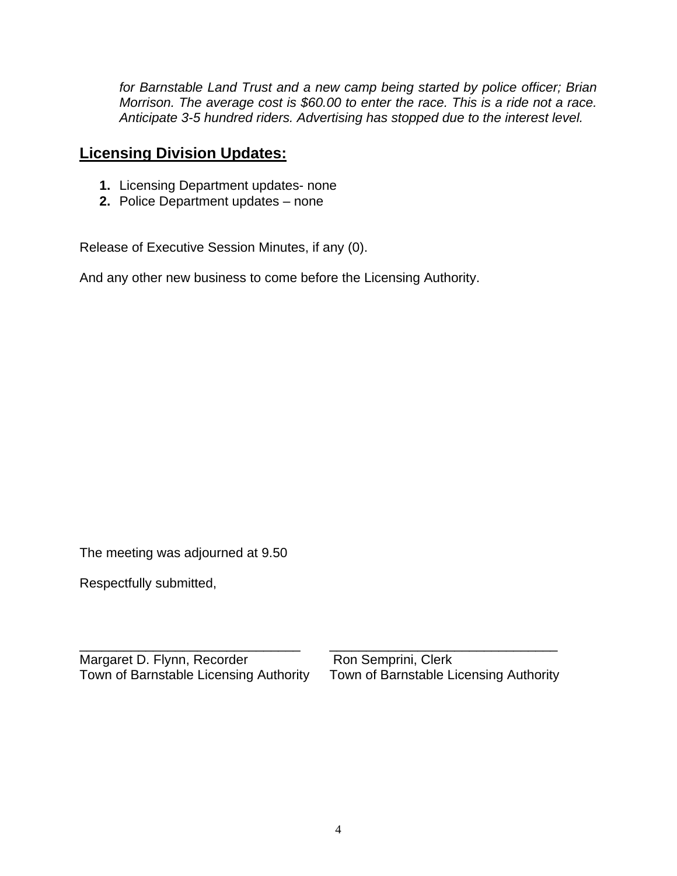*for Barnstable Land Trust and a new camp being started by police officer; Brian Morrison. The average cost is \$60.00 to enter the race. This is a ride not a race. Anticipate 3-5 hundred riders. Advertising has stopped due to the interest level.* 

### **Licensing Division Updates:**

- **1.** Licensing Department updates- none
- **2.** Police Department updates none

Release of Executive Session Minutes, if any (0).

And any other new business to come before the Licensing Authority.

The meeting was adjourned at 9.50

Respectfully submitted,

Town of Barnstable Licensing Authority

\_\_\_\_\_\_\_\_\_\_\_\_\_\_\_\_\_\_\_\_\_\_\_\_\_\_\_\_\_\_ \_\_\_\_\_\_\_\_\_\_\_\_\_\_\_\_\_\_\_\_\_\_\_\_\_\_\_\_\_\_\_ Margaret D. Flynn, Recorder **Ron Semprini, Clerk**<br>Town of Barnstable Licensing Authority Town of Barnstable Licensing Authority